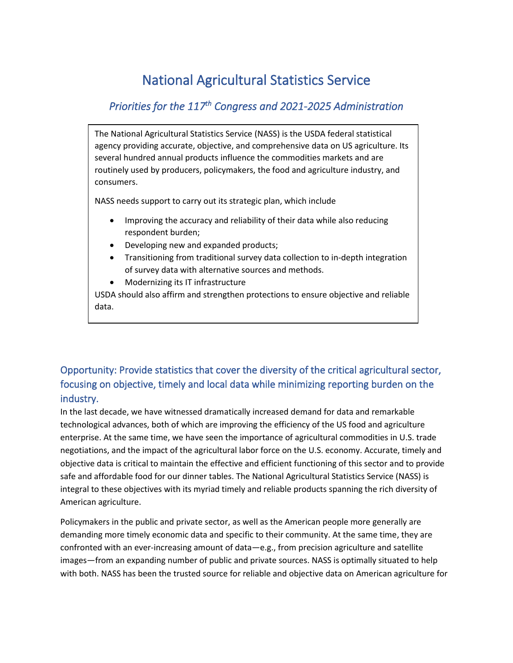# National Agricultural Statistics Service

# *Priorities for the 117th Congress and 2021-2025 Administration*

The National Agricultural Statistics Service (NASS) is the USDA federal statistical agency providing accurate, objective, and comprehensive data on US agriculture. Its several hundred annual products influence the commodities markets and are routinely used by producers, policymakers, the food and agriculture industry, and consumers.

NASS needs support to carry out its strategic plan, which include

- Improving the accuracy and reliability of their data while also reducing respondent burden;
- Developing new and expanded products;
- Transitioning from traditional survey data collection to in-depth integration of survey data with alternative sources and methods.
- Modernizing its IT infrastructure

USDA should also affirm and strengthen protections to ensure objective and reliable data.

# Opportunity: Provide statistics that cover the diversity of the critical agricultural sector, focusing on objective, timely and local data while minimizing reporting burden on the industry.

In the last decade, we have witnessed dramatically increased demand for data and remarkable technological advances, both of which are improving the efficiency of the US food and agriculture enterprise. At the same time, we have seen the importance of agricultural commodities in U.S. trade negotiations, and the impact of the agricultural labor force on the U.S. economy. Accurate, timely and objective data is critical to maintain the effective and efficient functioning of this sector and to provide safe and affordable food for our dinner tables. The National Agricultural Statistics Service (NASS) is integral to these objectives with its myriad timely and reliable products spanning the rich diversity of American agriculture.

Policymakers in the public and private sector, as well as the American people more generally are demanding more timely economic data and specific to their community. At the same time, they are confronted with an ever-increasing amount of data—e.g., from precision agriculture and satellite images—from an expanding number of public and private sources. NASS is optimally situated to help with both. NASS has been the trusted source for reliable and objective data on American agriculture for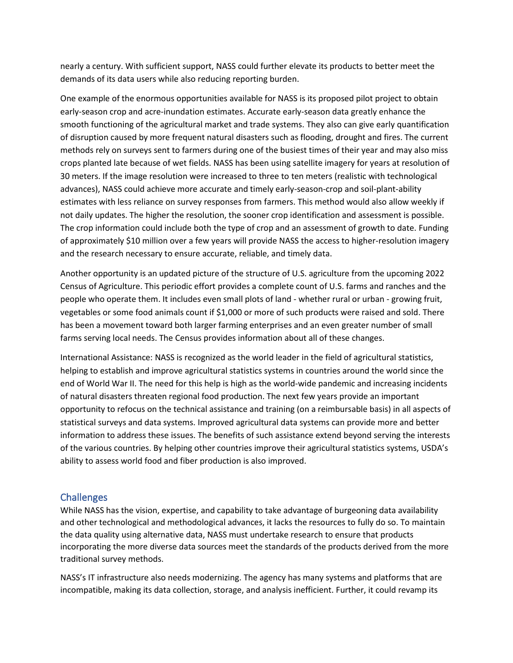nearly a century. With sufficient support, NASS could further elevate its products to better meet the demands of its data users while also reducing reporting burden.

One example of the enormous opportunities available for NASS is its proposed pilot project to obtain early-season crop and acre-inundation estimates. Accurate early-season data greatly enhance the smooth functioning of the agricultural market and trade systems. They also can give early quantification of disruption caused by more frequent natural disasters such as flooding, drought and fires. The current methods rely on surveys sent to farmers during one of the busiest times of their year and may also miss crops planted late because of wet fields. NASS has been using satellite imagery for years at resolution of 30 meters. If the image resolution were increased to three to ten meters (realistic with technological advances), NASS could achieve more accurate and timely early-season-crop and soil-plant-ability estimates with less reliance on survey responses from farmers. This method would also allow weekly if not daily updates. The higher the resolution, the sooner crop identification and assessment is possible. The crop information could include both the type of crop and an assessment of growth to date. Funding of approximately \$10 million over a few years will provide NASS the access to higher-resolution imagery and the research necessary to ensure accurate, reliable, and timely data.

Another opportunity is an updated picture of the structure of U.S. agriculture from the upcoming 2022 Census of Agriculture. This periodic effort provides a complete count of U.S. farms and ranches and the people who operate them. It includes even small plots of land - whether rural or urban - growing fruit, vegetables or some food animals count if \$1,000 or more of such products were raised and sold. There has been a movement toward both larger farming enterprises and an even greater number of small farms serving local needs. The Census provides information about all of these changes.

International Assistance: NASS is recognized as the world leader in the field of agricultural statistics, helping to establish and improve agricultural statistics systems in countries around the world since the end of World War II. The need for this help is high as the world-wide pandemic and increasing incidents of natural disasters threaten regional food production. The next few years provide an important opportunity to refocus on the technical assistance and training (on a reimbursable basis) in all aspects of statistical surveys and data systems. Improved agricultural data systems can provide more and better information to address these issues. The benefits of such assistance extend beyond serving the interests of the various countries. By helping other countries improve their agricultural statistics systems, USDA's ability to assess world food and fiber production is also improved.

#### **Challenges**

While NASS has the vision, expertise, and capability to take advantage of burgeoning data availability and other technological and methodological advances, it lacks the resources to fully do so. To maintain the data quality using alternative data, NASS must undertake research to ensure that products incorporating the more diverse data sources meet the standards of the products derived from the more traditional survey methods.

NASS's IT infrastructure also needs modernizing. The agency has many systems and platforms that are incompatible, making its data collection, storage, and analysis inefficient. Further, it could revamp its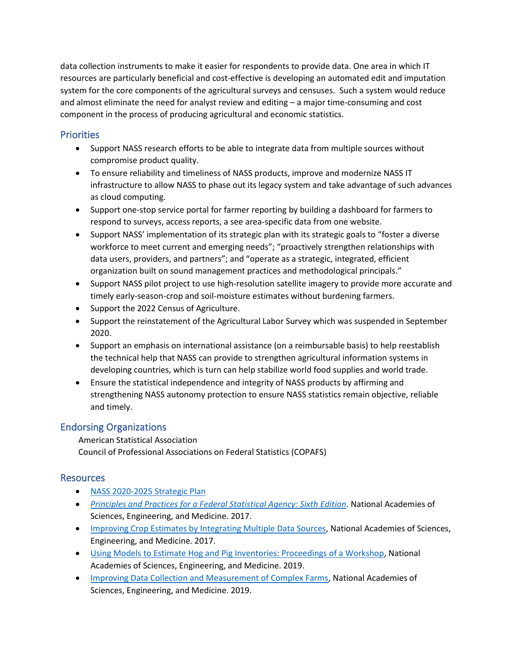data collection instruments to make it easier for respondents to provide data. One area in which IT resources are particularly beneficial and cost-effective is developing an automated edit and imputation system for the core components of the agricultural surveys and censuses. Such a system would reduce and almost eliminate the need for analyst review and editing – a major time-consuming and cost component in the process of producing agricultural and economic statistics.

### **Priorities**

- Support NASS research efforts to be able to integrate data from multiple sources without compromise product quality.
- To ensure reliability and timeliness of NASS products, improve and modernize NASS IT infrastructure to allow NASS to phase out its legacy system and take advantage of such advances as cloud computing.
- Support one-stop service portal for farmer reporting by building a dashboard for farmers to respond to surveys, access reports, a see area-specific data from one website.
- Support NASS' implementation of its strategic plan with its strategic goals to "foster a diverse workforce to meet current and emerging needs"; "proactively strengthen relationships with data users, providers, and partners"; and "operate as a strategic, integrated, efficient organization built on sound management practices and methodological principals."
- Support NASS pilot project to use high-resolution satellite imagery to provide more accurate and timely early-season-crop and soil-moisture estimates without burdening farmers.
- Support the 2022 Census of Agriculture.
- Support the reinstatement of the Agricultural Labor Survey which was suspended in September 2020.
- Support an emphasis on international assistance (on a reimbursable basis) to help reestablish the technical help that NASS can provide to strengthen agricultural information systems in developing countries, which is turn can help stabilize world food supplies and world trade.
- Ensure the statistical independence and integrity of NASS products by affirming and strengthening NASS autonomy protection to ensure NASS statistics remain objective, reliable and timely.

## Endorsing Organizations

American Statistical Association Council of Professional Associations on Federal Statistics (COPAFS)

## Resources

- [NASS 2020-2025 Strategic Plan](https://www.nass.usda.gov/About_NASS/Strategic_Plan/pdf/USDA_NASS_SP_FY20-25.pdf)
- *[Principles and Practices for a Federal Statistical Agency: Sixth Edition](file:///C:/Users/spierson/AppData/Local/Microsoft/Windows/INetCache/Content.Outlook/R6D9INDR/Principles%20and%20Practices%20for%20a%20Federal%20Statistical%20Agency:%20Sixth%20Edition)*. National Academies of Sciences, Engineering, and Medicine. 2017.
- [Improving Crop Estimates by Integrating Multiple Data Sources,](https://amstat365-my.sharepoint.com/personal/spierson_amstat_org/Documents/Documents/Federal%20Statistical%20Agencies/NASS/NAS%20NASS%20ARM%20Survey.pdf) National Academies of Sciences, Engineering, and Medicine. 2017.
- [Using Models to Estimate Hog and Pig Inventories: Proceedings of a Workshop,](https://www.nap.edu/catalog/25526/using-models-to-estimate-hog-and-pig-inventories-proceedings-of) National Academies of Sciences, Engineering, and Medicine. 2019.
- [Improving Data Collection and Measurement of Complex Farms,](https://www.nap.edu/read/25260) National Academies of Sciences, Engineering, and Medicine. 2019.